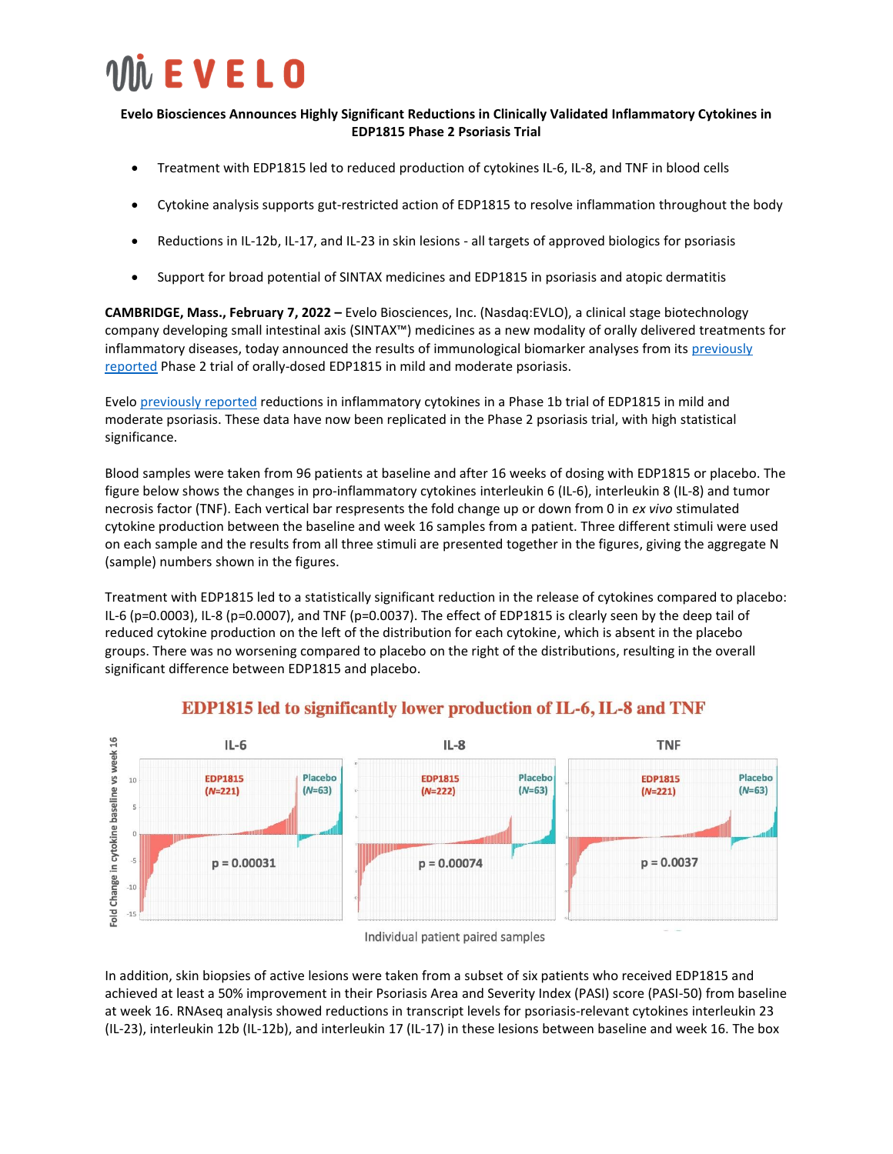

#### **Evelo Biosciences Announces Highly Significant Reductions in Clinically Validated Inflammatory Cytokines in EDP1815 Phase 2 Psoriasis Trial**

- Treatment with EDP1815 led to reduced production of cytokines IL-6, IL-8, and TNF in blood cells
- Cytokine analysis supports gut-restricted action of EDP1815 to resolve inflammation throughout the body
- Reductions in IL-12b, IL-17, and IL-23 in skin lesions all targets of approved biologics for psoriasis
- Support for broad potential of SINTAX medicines and EDP1815 in psoriasis and atopic dermatitis

**CAMBRIDGE, Mass., February 7, 2022 –** Evelo Biosciences, Inc. (Nasdaq:EVLO), a clinical stage biotechnology company developing small intestinal axis (SINTAX™) medicines as a new modality of orally delivered treatments for inflammatory diseases, today announced the results of immunological biomarker analyses from its previously [reported](https://ir.evelobio.com/news-releases/news-release-details/evelo-biosciences-announces-positive-phase-2-clinical-data) Phase 2 trial of orally-dosed EDP1815 in mild and moderate psoriasis.

Evelo [previously reported](https://ir.evelobio.com/news-releases/news-release-details/evelo-biosciences-announces-biomarker-data-showing-edp1815) reductions in inflammatory cytokines in a Phase 1b trial of EDP1815 in mild and moderate psoriasis. These data have now been replicated in the Phase 2 psoriasis trial, with high statistical significance.

Blood samples were taken from 96 patients at baseline and after 16 weeks of dosing with EDP1815 or placebo. The figure below shows the changes in pro-inflammatory cytokines interleukin 6 (IL-6), interleukin 8 (IL-8) and tumor necrosis factor (TNF). Each vertical bar respresents the fold change up or down from 0 in *ex vivo* stimulated cytokine production between the baseline and week 16 samples from a patient. Three different stimuli were used on each sample and the results from all three stimuli are presented together in the figures, giving the aggregate N (sample) numbers shown in the figures.

Treatment with EDP1815 led to a statistically significant reduction in the release of cytokines compared to placebo: IL-6 (p=0.0003), IL-8 (p=0.0007), and TNF (p=0.0037). The effect of EDP1815 is clearly seen by the deep tail of reduced cytokine production on the left of the distribution for each cytokine, which is absent in the placebo groups. There was no worsening compared to placebo on the right of the distributions, resulting in the overall significant difference between EDP1815 and placebo.



### **EDP1815 led to significantly lower production of IL-6, IL-8 and TNF**

In addition, skin biopsies of active lesions were taken from a subset of six patients who received EDP1815 and achieved at least a 50% improvement in their Psoriasis Area and Severity Index (PASI) score (PASI-50) from baseline at week 16. RNAseq analysis showed reductions in transcript levels for psoriasis-relevant cytokines interleukin 23 (IL-23), interleukin 12b (IL-12b), and interleukin 17 (IL-17) in these lesions between baseline and week 16. The box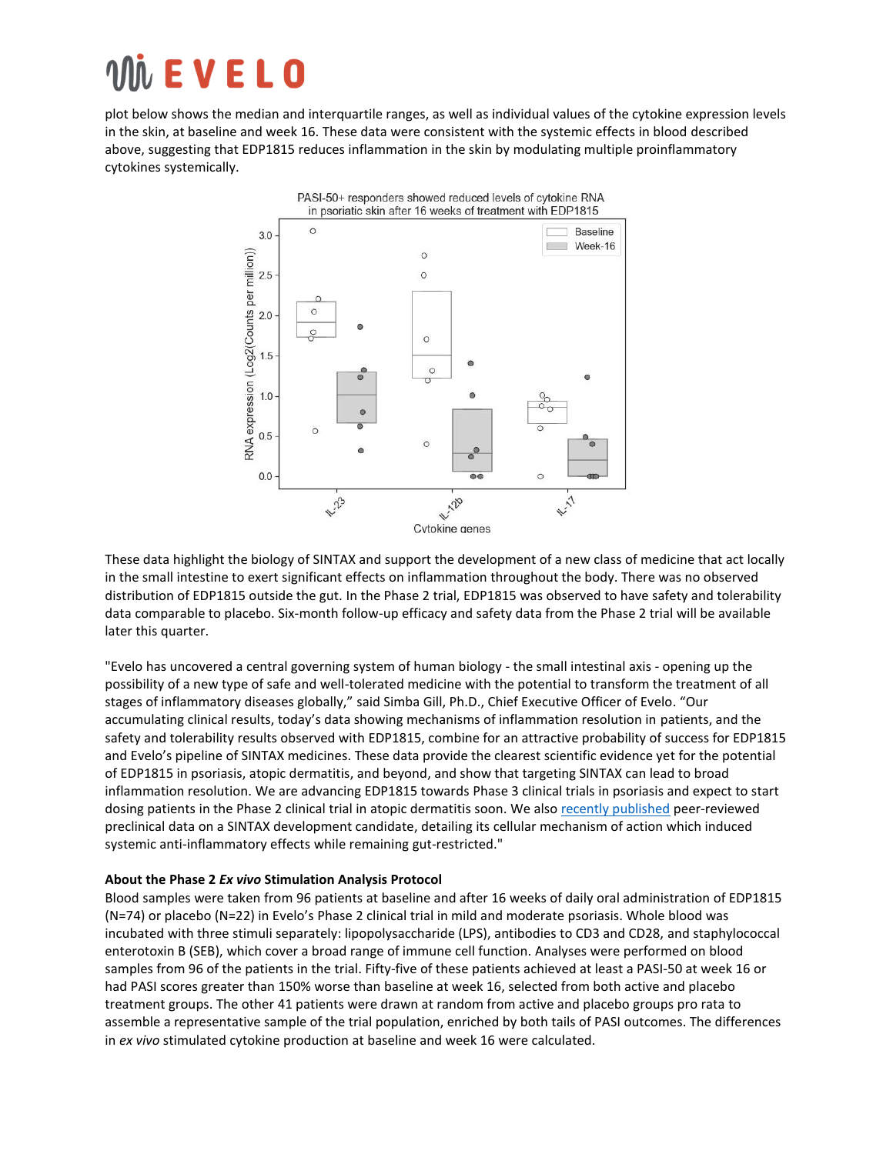# $\dot{\textbf{h}}$  **E V E L O**

plot below shows the median and interquartile ranges, as well as individual values of the cytokine expression levels in the skin, at baseline and week 16. These data were consistent with the systemic effects in blood described above, suggesting that EDP1815 reduces inflammation in the skin by modulating multiple proinflammatory cytokines systemically.



These data highlight the biology of SINTAX and support the development of a new class of medicine that act locally in the small intestine to exert significant effects on inflammation throughout the body. There was no observed distribution of EDP1815 outside the gut. In the Phase 2 trial, EDP1815 was observed to have safety and tolerability data comparable to placebo. Six-month follow-up efficacy and safety data from the Phase 2 trial will be available later this quarter.

"Evelo has uncovered a central governing system of human biology - the small intestinal axis - opening up the possibility of a new type of safe and well-tolerated medicine with the potential to transform the treatment of all stages of inflammatory diseases globally," said Simba Gill, Ph.D., Chief Executive Officer of Evelo. "Our accumulating clinical results, today's data showing mechanisms of inflammation resolution in patients, and the safety and tolerability results observed with EDP1815, combine for an attractive probability of success for EDP1815 and Evelo's pipeline of SINTAX medicines. These data provide the clearest scientific evidence yet for the potential of EDP1815 in psoriasis, atopic dermatitis, and beyond, and show that targeting SINTAX can lead to broad inflammation resolution. We are advancing EDP1815 towards Phase 3 clinical trials in psoriasis and expect to start dosing patients in the Phase 2 clinical trial in atopic dermatitis soon. We als[o recently published](https://www.frontiersin.org/articles/10.3389/fimmu.2022.768076/full?&utm_source=Email_to_authors_&utm_medium=Email&utm_content=T1_11.5e1_author&utm_campaign=Email_publication&field=&journalName=Frontiers_in_Immunology&id=768076) peer-reviewed preclinical data on a SINTAX development candidate, detailing its cellular mechanism of action which induced systemic anti-inflammatory effects while remaining gut-restricted."

#### **About the Phase 2** *Ex vivo* **Stimulation Analysis Protocol**

Blood samples were taken from 96 patients at baseline and after 16 weeks of daily oral administration of EDP1815 (N=74) or placebo (N=22) in Evelo's Phase 2 clinical trial in mild and moderate psoriasis. Whole blood was incubated with three stimuli separately: lipopolysaccharide (LPS), antibodies to CD3 and CD28, and staphylococcal enterotoxin B (SEB), which cover a broad range of immune cell function. Analyses were performed on blood samples from 96 of the patients in the trial. Fifty-five of these patients achieved at least a PASI-50 at week 16 or had PASI scores greater than 150% worse than baseline at week 16, selected from both active and placebo treatment groups. The other 41 patients were drawn at random from active and placebo groups pro rata to assemble a representative sample of the trial population, enriched by both tails of PASI outcomes. The differences in *ex vivo* stimulated cytokine production at baseline and week 16 were calculated.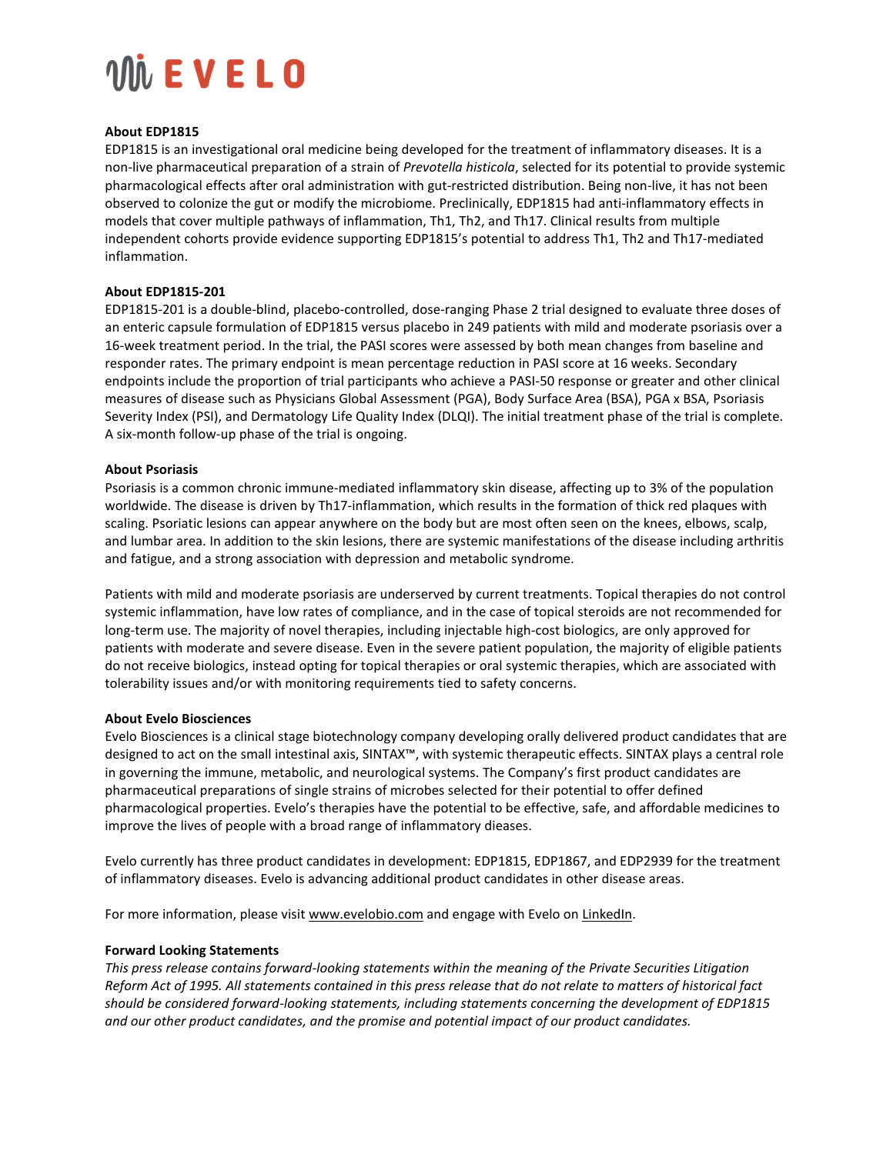### **WEVELO**

#### **About EDP1815**

EDP1815 is an investigational oral medicine being developed for the treatment of inflammatory diseases. It is a non-live pharmaceutical preparation of a strain of *Prevotella histicola*, selected for its potential to provide systemic pharmacological effects after oral administration with gut-restricted distribution. Being non-live, it has not been observed to colonize the gut or modify the microbiome. Preclinically, EDP1815 had anti-inflammatory effects in models that cover multiple pathways of inflammation, Th1, Th2, and Th17. Clinical results from multiple independent cohorts provide evidence supporting EDP1815's potential to address Th1, Th2 and Th17-mediated inflammation.

#### **About EDP1815-201**

EDP1815-201 is a double-blind, placebo-controlled, dose-ranging Phase 2 trial designed to evaluate three doses of an enteric capsule formulation of EDP1815 versus placebo in 249 patients with mild and moderate psoriasis over a 16-week treatment period. In the trial, the PASI scores were assessed by both mean changes from baseline and responder rates. The primary endpoint is mean percentage reduction in PASI score at 16 weeks. Secondary endpoints include the proportion of trial participants who achieve a PASI-50 response or greater and other clinical measures of disease such as Physicians Global Assessment (PGA), Body Surface Area (BSA), PGA x BSA, Psoriasis Severity Index (PSI), and Dermatology Life Quality Index (DLQI). The initial treatment phase of the trial is complete. A six-month follow-up phase of the trial is ongoing.

#### **About Psoriasis**

Psoriasis is a common chronic immune-mediated inflammatory skin disease, affecting up to 3% of the population worldwide. The disease is driven by Th17-inflammation, which results in the formation of thick red plaques with scaling. Psoriatic lesions can appear anywhere on the body but are most often seen on the knees, elbows, scalp, and lumbar area. In addition to the skin lesions, there are systemic manifestations of the disease including arthritis and fatigue, and a strong association with depression and metabolic syndrome.

Patients with mild and moderate psoriasis are underserved by current treatments. Topical therapies do not control systemic inflammation, have low rates of compliance, and in the case of topical steroids are not recommended for long-term use. The majority of novel therapies, including injectable high-cost biologics, are only approved for patients with moderate and severe disease. Even in the severe patient population, the majority of eligible patients do not receive biologics, instead opting for topical therapies or oral systemic therapies, which are associated with tolerability issues and/or with monitoring requirements tied to safety concerns.

#### **About Evelo Biosciences**

Evelo Biosciences is a clinical stage biotechnology company developing orally delivered product candidates that are designed to act on the small intestinal axis, SINTAX™, with systemic therapeutic effects. SINTAX plays a central role in governing the immune, metabolic, and neurological systems. The Company's first product candidates are pharmaceutical preparations of single strains of microbes selected for their potential to offer defined pharmacological properties. Evelo's therapies have the potential to be effective, safe, and affordable medicines to improve the lives of people with a broad range of inflammatory dieases.

Evelo currently has three product candidates in development: EDP1815, EDP1867, and EDP2939 for the treatment of inflammatory diseases. Evelo is advancing additional product candidates in other disease areas.

For more information, please visit [www.evelobio.com](https://www.globenewswire.com/Tracker?data=GViC1aioZh342RAwP4wj-rw7VtybGus1uZNOu7_FIE_V7ePt9xjaHZR7RP6do3U-nNUaDHspOS6ALdFvnSk6c8-jnmGMr7G9NYy7Qc-OYnEN5o9RDN4OmM1_4mxe7TF5owxPp8Vn-WmSPeAj_pFU-C_c0fbs0sMtKXaG6OJ0gLaVRgANZwkmGM7TYrgBwdHXlKVu0x2eNG9sqOAF2TXJ8tz-cPoMMlP3WYvQOXNNgUE=) and engage with Evelo on [LinkedIn.](https://www.globenewswire.com/Tracker?data=-_k-sdJDAvnuzI4vGBlpzP5-sllnvvNuJkMKleHJnZJ4n_2A06-qQKh6FAqAVmxHFIQXgM_36tSwPbuQrGIPfyzVeaN1vLw7LjXDe2P2UP22iQPpW8LGe1Eb2ag5ADkZB1WQjihW7XQt5nvIAh0civFG-qWPgku4WJuwRj0TOyLhVT6-3rO4pGs00E1uf1UJhXrEnes-yn_4h5YZXCV3su1gZYV5stbvpCR--JoEVpeF3rEwK9D6O4GGDr3cV5RItQW2WarWiepkjRtvO--kzQ==)

#### **Forward Looking Statements**

*This press release contains forward-looking statements within the meaning of the Private Securities Litigation Reform Act of 1995. All statements contained in this press release that do not relate to matters of historical fact should be considered forward-looking statements, including statements concerning the development of EDP1815 and our other product candidates, and the promise and potential impact of our product candidates.*